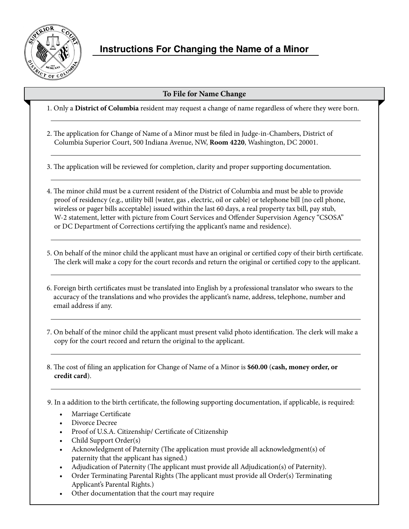

# **Instructions For Changing the Name of a Minor**

## **To File for Name Change**

1. Only a **District of Columbia** resident may request a change of name regardless of where they were born.

2. The application for Change of Name of a Minor must be filed in Judge-in-Chambers, District of Columbia Superior Court, 500 Indiana Avenue, NW, **Room 4220**, Washington, DC 20001.

3. The application will be reviewed for completion, clarity and proper supporting documentation.

4. The minor child must be a current resident of the District of Columbia and must be able to provide proof of residency (e.g., utility bill {water, gas , electric, oil or cable} or telephone bill {no cell phone, wireless or pager bills acceptable} issued within the last 60 days, a real property tax bill, pay stub, W-2 statement, letter with picture from Court Services and Offender Supervision Agency "CSOSA" or DC Department of Corrections certifying the applicant's name and residence).

5. On behalf of the minor child the applicant must have an original or certified copy of their birth certificate. The clerk will make a copy for the court records and return the original or certified copy to the applicant.

- 6. Foreign birth certificates must be translated into English by a professional translator who swears to the accuracy of the translations and who provides the applicant's name, address, telephone, number and email address if any.
- 7. On behalf of the minor child the applicant must present valid photo identification. The clerk will make a copy for the court record and return the original to the applicant.
- 8. The cost of filing an application for Change of Name of a Minor is **\$60.00** (**cash, money order, or credit card**).

9. In a addition to the birth certificate, the following supporting documentation, if applicable, is required:

- Marriage Certificate
- Divorce Decree
- Proof of U.S.A. Citizenship/ Certificate of Citizenship
- Child Support Order(s)
- Acknowledgment of Paternity (The application must provide all acknowledgment(s) of paternity that the applicant has signed.)
- Adjudication of Paternity (The applicant must provide all Adjudication(s) of Paternity).
- Order Terminating Parental Rights (The applicant must provide all Order(s) Terminating Applicant's Parental Rights.)
- • Other documentation that the court may require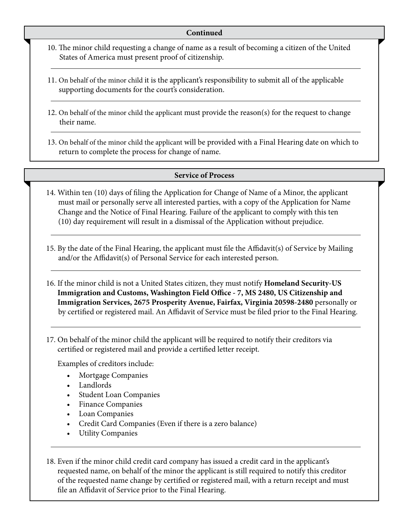- 10. The minor child requesting a change of name as a result of becoming a citizen of the United States of America must present proof of citizenship.
- 11. On behalf of the minor child it is the applicant's responsibility to submit all of the applicable supporting documents for the court's consideration.
- 12. On behalf of the minor child the applicant must provide the reason(s) for the request to change their name.
- 13. On behalf of the minor child the applicant will be provided with a Final Hearing date on which to return to complete the process for change of name.

## **Service of Process**

- 14. Within ten (10) days of filing the Application for Change of Name of a Minor, the applicant must mail or personally serve all interested parties, with a copy of the Application for Name Change and the Notice of Final Hearing. Failure of the applicant to comply with this ten (10) day requirement will result in a dismissal of the Application without prejudice.
- 15. By the date of the Final Hearing, the applicant must file the Affidavit(s) of Service by Mailing and/or the Affidavit(s) of Personal Service for each interested person.
- 16. If the minor child is not a United States citizen, they must notify **Homeland Security-US Immigration and Customs, Washington Field Office - 7, MS 2480, US Citizenship and Immigration Services, 2675 Prosperity Avenue, Fairfax, Virginia 20598-2480** personally or by certified or registered mail. An Affidavit of Service must be filed prior to the Final Hearing.
- 17. On behalf of the minor child the applicant will be required to notify their creditors via certified or registered mail and provide a certified letter receipt.

Examples of creditors include:

- Mortgage Companies
- Landlords
- **Student Loan Companies**
- **Finance Companies**
- **Loan Companies**
- Credit Card Companies (Even if there is a zero balance)
- **Utility Companies**
- 18. Even if the minor child credit card company has issued a credit card in the applicant's requested name, on behalf of the minor the applicant is still required to notify this creditor of the requested name change by certified or registered mail, with a return receipt and must file an Affidavit of Service prior to the Final Hearing.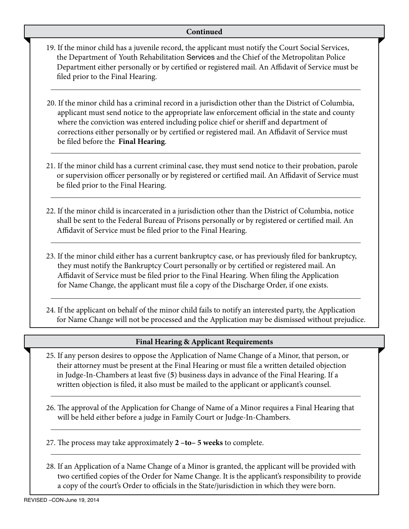- 19. If the minor child has a juvenile record, the applicant must notify the Court Social Services, the Department of Youth Rehabilitation Services and the Chief of the Metropolitan Police Department either personally or by certified or registered mail. An Affidavit of Service must be filed prior to the Final Hearing.
- 20. If the minor child has a criminal record in a jurisdiction other than the District of Columbia, applicant must send notice to the appropriate law enforcement official in the state and county where the conviction was entered including police chief or sheriff and department of corrections either personally or by certified or registered mail. An Affidavit of Service must be filed before the **Final Hearing**.
- 21. If the minor child has a current criminal case, they must send notice to their probation, parole or supervision officer personally or by registered or certified mail. An Affidavit of Service must be filed prior to the Final Hearing.
- 22. If the minor child is incarcerated in a jurisdiction other than the District of Columbia, notice shall be sent to the Federal Bureau of Prisons personally or by registered or certified mail. An Affidavit of Service must be filed prior to the Final Hearing.
- 23. If the minor child either has a current bankruptcy case, or has previously filed for bankruptcy, they must notify the Bankruptcy Court personally or by certified or registered mail. An Affidavit of Service must be filed prior to the Final Hearing. When filing the Application for Name Change, the applicant must file a copy of the Discharge Order, if one exists.
- 24. If the applicant on behalf of the minor child fails to notify an interested party, the Application for Name Change will not be processed and the Application may be dismissed without prejudice.

## **Final Hearing & Applicant Requirements**

- 25. If any person desires to oppose the Application of Name Change of a Minor, that person, or their attorney must be present at the Final Hearing or must file a written detailed objection in Judge-In-Chambers at least five (**5**) business days in advance of the Final Hearing. If a written objection is filed, it also must be mailed to the applicant or applicant's counsel.
- 26. The approval of the Application for Change of Name of a Minor requires a Final Hearing that will be held either before a judge in Family Court or Judge-In-Chambers.
- 27. The process may take approximately **2 –to– 5 weeks** to complete.
- 28. If an Application of a Name Change of a Minor is granted, the applicant will be provided with two certified copies of the Order for Name Change. It is the applicant's responsibility to provide a copy of the court's Order to officials in the State/jurisdiction in which they were born.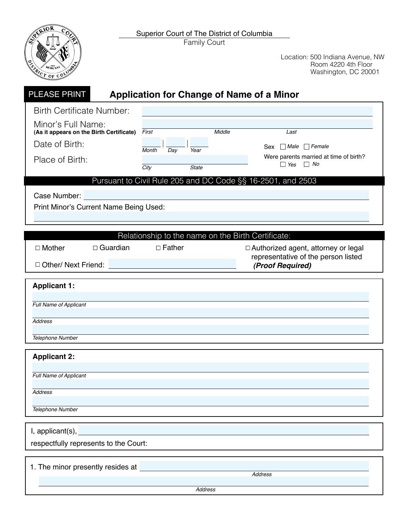Family Court Superior Court of The District of Columbia



| <b>PLEASE PRINT</b>                                                                 |                                          | <b>Application for Change of Name of a Minor</b>   |        |                                                                              |
|-------------------------------------------------------------------------------------|------------------------------------------|----------------------------------------------------|--------|------------------------------------------------------------------------------|
|                                                                                     | <b>Birth Certificate Number:</b>         |                                                    |        |                                                                              |
| Minor's Full Name:<br>Date of Birth:                                                | (As it appears on the Birth Certificate) | First                                              | Middle | Last<br>Sex $\Box$ Male $\Box$ Female                                        |
| Place of Birth:                                                                     |                                          | Day<br>Year<br>Month<br>State<br>City              |        | Were parents married at time of birth?<br>$\Box$ No<br>$\Box$ Yes            |
| Case Number:                                                                        | Print Minor's Current Name Being Used:   |                                                    |        | Pursuant to Civil Rule 205 and DC Code §§ 16-2501, and 2503                  |
|                                                                                     |                                          | Relationship to the name on the Birth Certificate: |        |                                                                              |
| $\Box$ Mother                                                                       | $\Box$ Guardian                          | $\Box$ Father                                      |        | □ Authorized agent, attorney or legal<br>representative of the person listed |
| □ Other/ Next Friend:                                                               |                                          |                                                    |        | (Proof Required)                                                             |
| <b>Applicant 1:</b><br>Full Name of Applicant<br><b>Address</b><br>Telephone Number |                                          |                                                    |        |                                                                              |
| <b>Applicant 2:</b><br>Full Name of Applicant                                       |                                          |                                                    |        |                                                                              |
| <b>Address</b><br>Telephone Number                                                  |                                          |                                                    |        |                                                                              |
|                                                                                     |                                          |                                                    |        |                                                                              |
| I, applicant(s),                                                                    | respectfully represents to the Court:    |                                                    |        |                                                                              |
|                                                                                     | 1. The minor presently resides at        |                                                    |        | <b>Address</b>                                                               |
|                                                                                     |                                          | <b>Address</b>                                     |        |                                                                              |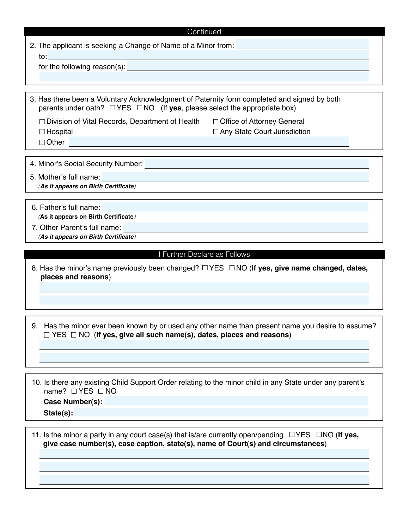|     | 2. The applicant is seeking a Change of Name of a Minor from: |
|-----|---------------------------------------------------------------|
| to: |                                                               |

for the following reason(s):

3. Has there been a Voluntary Acknowledgment of Paternity form completed and signed by both parents under oath?  $\Box$  YES  $\Box$  NO (If yes, please select the appropriate box)

 $\Box$  Division of Vital Records, Department of Health  $\Box$  Office of Attorney General  $\Box$  Hospital □ Other

□ Any State Court Jurisdiction

4. Minor's Social Security Number:

5. Mother's full name: *(***As it appears on Birth Certificate***)* 

- 6. Father's full name: *(***As it appears on Birth Certificate***)*
- 7. Other Parent's full name: *(***As it appears on Birth Certificate***)*

#### I Further Declare as Follows

8. Has the minor's name previously been changed? □ YES □ NO (**If yes, give name changed, dates, places and reasons**)

9. Has the minor ever been known by or used any other name than present name you desire to assume? □ YES □ NO (**If yes, give all such name(s), dates, places and reasons**)

10. Is there any existing Child Support Order relating to the minor child in any State under any parent's name?  $\Box$  YES  $\Box$  NO

**Case Number(s): State(s):**

11. Is the minor a party in any court case(s) that is/are currently open/pending  $\Box$ YES  $\Box$ NO (**If yes, give case number(s), case caption, state(s), name of Court(s) and circumstances**)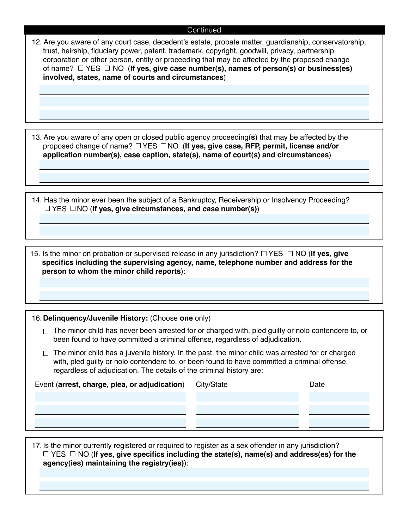12. Are you aware of any court case, decedent's estate, probate matter, guardianship, conservatorship, trust, heirship, fiduciary power, patent, trademark, copyright, goodwill, privacy, partnership, corporation or other person, entity or proceeding that may be affected by the proposed change of name? YES NO (**If yes, give case number(s), names of person(s) or business(es) involved, states, name of courts and circumstances**)

13. Are you aware of any open or closed public agency proceeding(**s**) that may be affected by the proposed change of name?  $\Box$  YES  $\Box$  NO (**If yes, give case, RFP, permit, license and/or application number(s), case caption, state(s), name of court(s) and circumstances**)

14. Has the minor ever been the subject of a Bankruptcy, Receivership or Insolvency Proceeding? □ YES □NO (**If yes, give circumstances, and case number(s)**)

15. Is the minor on probation or supervised release in any jurisdiction?  $\Box$  YES  $\Box$  NO (If yes, give **specifics including the supervising agency, name, telephone number and address for the person to whom the minor child reports**):

### 16. **Delinquency/Juvenile History:** (Choose **one** only)

- $\Box$  The minor child has never been arrested for or charged with, pled guilty or nolo contendere to, or been found to have committed a criminal offense, regardless of adjudication.
- $\Box$  The minor child has a juvenile history. In the past, the minor child was arrested for or charged with, pled guilty or nolo contendere to, or been found to have committed a criminal offense, regardless of adjudication. The details of the criminal history are:

| Event (arrest, charge, plea, or adjudication) City/State | Date |
|----------------------------------------------------------|------|
|                                                          |      |
|                                                          |      |
|                                                          |      |

17. Is the minor currently registered or required to register as a sex offender in any jurisdiction?  $\Box$  YES  $\Box$  NO (**If yes, give specifics including the state(s**), name(s) and address(es) for the **agency(ies) maintaining the registry(ies)**):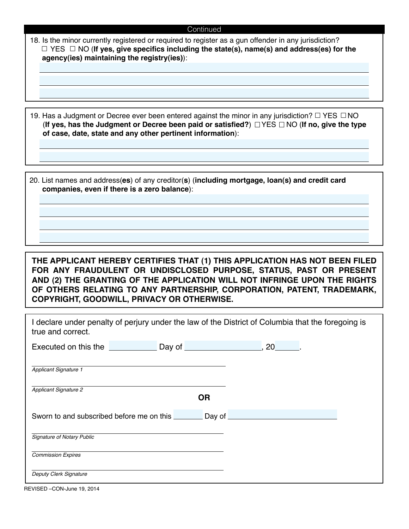| 18. Is the minor currently registered or required to register as a gun offender in any jurisdiction? |
|------------------------------------------------------------------------------------------------------|
| $\Box$ YES $\Box$ NO (If yes, give specifics including the state(s), name(s) and address(es) for the |
| agency(ies) maintaining the registry(ies)):                                                          |

19. Has a Judgment or Decree ever been entered against the minor in any jurisdiction?  $\Box$  YES  $\Box$  NO (**If yes, has the Judgment or Decree been paid or satisfied?**) YES NO (**If no, give the type of case, date, state and any other pertinent information**):

20. List names and address(**es**) of any creditor(**s**) (**including mortgage, loan(s) and credit card companies, even if there is a zero balance**):

**THE APPLICANT HEREBY CERTIFIES THAT (1) THIS APPLICATION HAS NOT BEEN FILED FOR ANY FRAUDULENT OR UNDISCLOSED PURPOSE, STATUS, PAST OR PRESENT AND (2) THE GRANTING OF THE APPLICATION WILL NOT INFRINGE UPON THE RIGHTS OF OTHERS RELATING TO ANY PARTNERSHIP, CORPORATION, PATENT, TRADEMARK, COPYRIGHT, GOODWILL, PRIVACY OR OTHERWISE.** 

| true and correct.                 | I declare under penalty of perjury under the law of the District of Columbia that the foregoing is |  |
|-----------------------------------|----------------------------------------------------------------------------------------------------|--|
|                                   | Executed on this the <u>entitled</u> Day of <u>Executed on this the second bay of entitled</u>     |  |
| <b>Applicant Signature 1</b>      |                                                                                                    |  |
| <b>Applicant Signature 2</b>      | <b>OR</b>                                                                                          |  |
|                                   | Sworn to and subscribed before me on this                                                          |  |
| <b>Signature of Notary Public</b> |                                                                                                    |  |
| <b>Commission Expires</b>         |                                                                                                    |  |
| Deputy Clerk Signature            |                                                                                                    |  |

REVISED –CON-June 19, 2014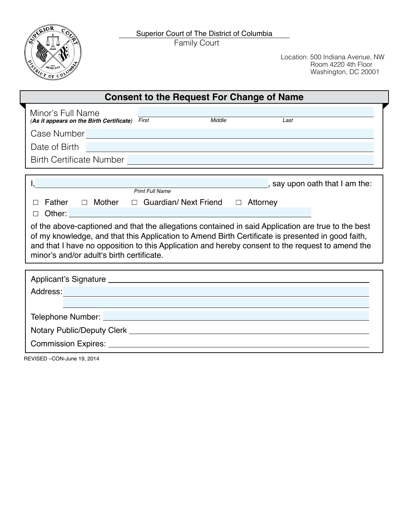



| <b>Consent to the Request For Change of Name</b>                                                                                                                                                                                                                                                                                                         |  |  |  |  |
|----------------------------------------------------------------------------------------------------------------------------------------------------------------------------------------------------------------------------------------------------------------------------------------------------------------------------------------------------------|--|--|--|--|
| Minor's Full Name<br>(As it appears on the Birth Certificate) $\overline{First}$<br>Middle<br>Last                                                                                                                                                                                                                                                       |  |  |  |  |
| Case Number <b>Case Number Case Number Case Number</b>                                                                                                                                                                                                                                                                                                   |  |  |  |  |
| Date of Birth                                                                                                                                                                                                                                                                                                                                            |  |  |  |  |
| Birth Certificate Number <b>Contract Contract Contract Contract Contract Contract Contract Contract Contract Contract Contract Contract Contract Contract Contract Contract Contract Contract Contract Contract Contract Contrac</b>                                                                                                                     |  |  |  |  |
| I, Say upon oath that I am the:<br>Print Full Name example and the same of the same of the same of the same of the same of the same of the same o                                                                                                                                                                                                        |  |  |  |  |
| Father $\Box$ Mother $\Box$ Guardian/Next Friend $\Box$ Attorney<br>$\perp$<br>П                                                                                                                                                                                                                                                                         |  |  |  |  |
| of the above-captioned and that the allegations contained in said Application are true to the best<br>of my knowledge, and that this Application to Amend Birth Certificate is presented in good faith,<br>and that I have no opposition to this Application and hereby consent to the request to amend the<br>minor's and/or adult's birth certificate. |  |  |  |  |
|                                                                                                                                                                                                                                                                                                                                                          |  |  |  |  |
| Address: Address: Address: Address: Address: Address: Address: Address: Address: Address: Address: Address: Address: Address: Address: Address: Address: Address: Address: Address: Address: Address: Address: Address: Addres                                                                                                                           |  |  |  |  |
|                                                                                                                                                                                                                                                                                                                                                          |  |  |  |  |
|                                                                                                                                                                                                                                                                                                                                                          |  |  |  |  |
|                                                                                                                                                                                                                                                                                                                                                          |  |  |  |  |
| REVISED - CON-June 19, 2014                                                                                                                                                                                                                                                                                                                              |  |  |  |  |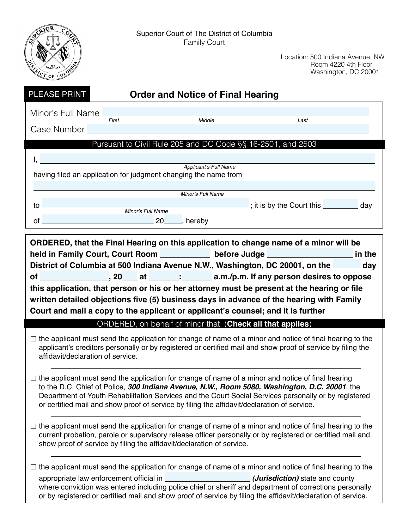Superior Court of The District of Columbia

Family Court

**TOR** MCMLXX TRICT OF COLUM

| PLEASE PRINT                                                                                                                                                                                                                                                                                                                                                                                                                                                                   |                    | <b>Order and Notice of Final Hearing</b>                              |                                                                                                                                                                                                                                |  |  |
|--------------------------------------------------------------------------------------------------------------------------------------------------------------------------------------------------------------------------------------------------------------------------------------------------------------------------------------------------------------------------------------------------------------------------------------------------------------------------------|--------------------|-----------------------------------------------------------------------|--------------------------------------------------------------------------------------------------------------------------------------------------------------------------------------------------------------------------------|--|--|
| Minor's Full Name<br>Case Number                                                                                                                                                                                                                                                                                                                                                                                                                                               | $\overline{First}$ | Middle                                                                | Last                                                                                                                                                                                                                           |  |  |
|                                                                                                                                                                                                                                                                                                                                                                                                                                                                                |                    |                                                                       | Pursuant to Civil Rule 205 and DC Code §§ 16-2501, and 2503                                                                                                                                                                    |  |  |
| Ι,                                                                                                                                                                                                                                                                                                                                                                                                                                                                             |                    | Applicant's Full Name                                                 |                                                                                                                                                                                                                                |  |  |
|                                                                                                                                                                                                                                                                                                                                                                                                                                                                                |                    | having filed an application for judgment changing the name from       |                                                                                                                                                                                                                                |  |  |
|                                                                                                                                                                                                                                                                                                                                                                                                                                                                                |                    | Minor's Full Name                                                     |                                                                                                                                                                                                                                |  |  |
| $\mathsf{to} \hspace{0.1cm} \square$                                                                                                                                                                                                                                                                                                                                                                                                                                           | Minor's Full Name  |                                                                       | $\frac{1}{2}$ ; it is by the Court this $\frac{1}{2}$ day                                                                                                                                                                      |  |  |
|                                                                                                                                                                                                                                                                                                                                                                                                                                                                                | of 20 hereby       |                                                                       |                                                                                                                                                                                                                                |  |  |
| held in Family Court, Court Room <u>_______________</u> before Judge _______________________ in the<br>District of Columbia at 500 Indiana Avenue N.W., Washington, DC 20001, on the ______ day<br>this application, that person or his or her attorney must be present at the hearing or file<br>written detailed objections five (5) business days in advance of the hearing with Family<br>Court and mail a copy to the applicant or applicant's counsel; and it is further |                    |                                                                       |                                                                                                                                                                                                                                |  |  |
|                                                                                                                                                                                                                                                                                                                                                                                                                                                                                |                    |                                                                       | ORDERED, on behalf of minor that: (Check all that applies)                                                                                                                                                                     |  |  |
| affidavit/declaration of service.                                                                                                                                                                                                                                                                                                                                                                                                                                              |                    |                                                                       | $\Box$ the applicant must send the application for change of name of a minor and notice of final hearing to the<br>applicant's creditors personally or by registered or certified mail and show proof of service by filing the |  |  |
| $\Box$ the applicant must send the application for change of name of a minor and notice of final hearing<br>to the D.C. Chief of Police, 300 Indiana Avenue, N.W., Room 5080, Washington, D.C. 20001, the<br>Department of Youth Rehabilitation Services and the Court Social Services personally or by registered<br>or certified mail and show proof of service by filing the affidavit/declaration of service.                                                              |                    |                                                                       |                                                                                                                                                                                                                                |  |  |
|                                                                                                                                                                                                                                                                                                                                                                                                                                                                                |                    |                                                                       |                                                                                                                                                                                                                                |  |  |
|                                                                                                                                                                                                                                                                                                                                                                                                                                                                                |                    | show proof of service by filing the affidavit/declaration of service. | the applicant must send the application for change of name of a minor and notice of final hearing to the<br>current probation, parole or supervisory release officer personally or by registered or certified mail and         |  |  |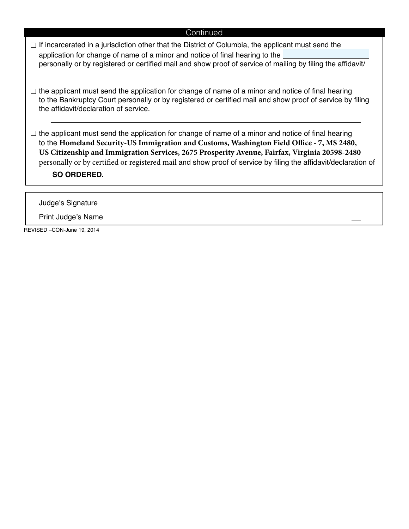| $\Box$ If incarcerated in a jurisdiction other that the District of Columbia, the applicant must send the   |  |
|-------------------------------------------------------------------------------------------------------------|--|
| application for change of name of a minor and notice of final hearing to the                                |  |
| personally or by registered or certified mail and show proof of service of mailing by filing the affidavit/ |  |

 $\Box$  the applicant must send the application for change of name of a minor and notice of final hearing to the Bankruptcy Court personally or by registered or certified mail and show proof of service by filing the affidavit/declaration of service.

 $\Box$  the applicant must send the application for change of name of a minor and notice of final hearing to the **Homeland Security-US Immigration and Customs, Washington Field Office - 7, MS 2480, US Citizenship and Immigration Services, 2675 Prosperity Avenue, Fairfax, Virginia 20598-2480** personally or by certified or registered mail and show proof of service by filing the affidavit/declaration of

**SO ORDERED.**

Judge's Signature

Print Judge's Name

REVISED –CON-June 19, 2014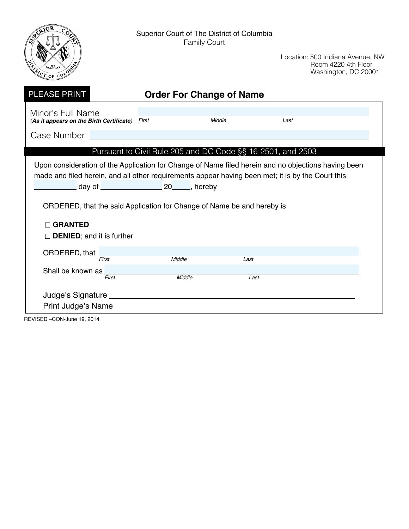

Family Court



Location: 500 Indiana Avenue, NW Room 4220 4th Floor Washington, DC 20001

| <b>PLEASE PRINT</b>                                                                                                                                                                                                                                                                                                                              |       |        | <b>Order For Change of Name</b> |                                                             |  |
|--------------------------------------------------------------------------------------------------------------------------------------------------------------------------------------------------------------------------------------------------------------------------------------------------------------------------------------------------|-------|--------|---------------------------------|-------------------------------------------------------------|--|
| Minor's Full Name<br>(As it appears on the Birth Certificate) First                                                                                                                                                                                                                                                                              |       |        | Middle                          | Last                                                        |  |
| Case Number                                                                                                                                                                                                                                                                                                                                      |       |        |                                 |                                                             |  |
|                                                                                                                                                                                                                                                                                                                                                  |       |        |                                 | Pursuant to Civil Rule 205 and DC Code §§ 16-2501, and 2503 |  |
| Upon consideration of the Application for Change of Name filed herein and no objections having been<br>made and filed herein, and all other requirements appear having been met; it is by the Court this<br>ORDERED, that the said Application for Change of Name be and hereby is<br><b>GRANTED</b><br>$\Box$ <b>DENIED</b> ; and it is further |       |        |                                 |                                                             |  |
| ORDERED, that                                                                                                                                                                                                                                                                                                                                    | First | Middle | Last                            |                                                             |  |
| Shall be known as                                                                                                                                                                                                                                                                                                                                | First | Middle |                                 | Last                                                        |  |
| Judge's Signature _________<br>Print Judge's Name                                                                                                                                                                                                                                                                                                |       |        |                                 |                                                             |  |

REVISED –CON-June 19, 2014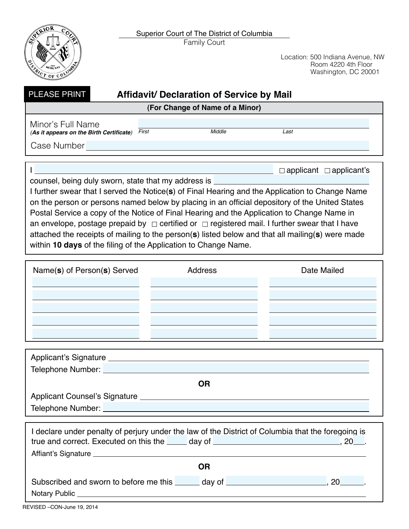Family Court Superior Court of The District of Columbia



Location: 500 Indiana Avenue, NW Room 4220 4th Floor Washington, DC 20001

| <b>PLEASE PRINT</b> |  |
|---------------------|--|
|                     |  |

# **Fidavit/ Declaration of Service by Mail**

| (For Change of Name of a Minor) |  |  |  |
|---------------------------------|--|--|--|
|---------------------------------|--|--|--|

Minor's Full Name *(***As it appears on the Birth Certificate***) First Middle Last* 

Case Number

 $\Box$  applicant  $\Box$  applicant's

counsel, being duly sworn, state that my address is

I further swear that I served the Notice(**s**) of Final Hearing and the Application to Change Name on the person or persons named below by placing in an official depository of the United States Postal Service a copy of the Notice of Final Hearing and the Application to Change Name in an envelope, postage prepaid by  $\Box$  certified or  $\Box$  registered mail. I further swear that I have attached the receipts of mailing to the person(**s**) listed below and that all mailing(**s**) were made within **10 days** of the filing of the Application to Change Name.

| Name(s) of Person(s) Served | <b>Address</b> | Date Mailed |
|-----------------------------|----------------|-------------|
|                             |                |             |
|                             |                |             |
|                             |                |             |
|                             |                |             |
|                             |                |             |

| <b>Applicant's Signature</b><br><u> 1980 - Jan Samuel Barbara, martin a shekara 1980 - An tsa a tsa a tsa a tsa a tsa a tsa a tsa a tsa a tsa a t</u> |  |
|-------------------------------------------------------------------------------------------------------------------------------------------------------|--|
| Telephone Number: Value of the Mumber:                                                                                                                |  |
| OR                                                                                                                                                    |  |
| <b>Applicant Counsel's Signature</b>                                                                                                                  |  |
| Telephone Number: Vermann Mumber:                                                                                                                     |  |

| I declare under penalty of perjury under the law of the District of Columbia that the foregoing is<br>true and correct. Executed on this the day of determination of the state of the state of the state of the state of the state of the state of the state of the state of the state of the state of the state of the state of the<br>$20$ . |  |  |  |  |  |  |
|------------------------------------------------------------------------------------------------------------------------------------------------------------------------------------------------------------------------------------------------------------------------------------------------------------------------------------------------|--|--|--|--|--|--|
| Affiant's Signature <u>experience</u> and the set of the set of the set of the set of the set of the set of the set of the set of the set of the set of the set of the set of the set of the set of the set of the set of the set o                                                                                                            |  |  |  |  |  |  |
| <b>OR</b>                                                                                                                                                                                                                                                                                                                                      |  |  |  |  |  |  |
| Subscribed and sworn to before me this _______ day of __________________________<br>20 a                                                                                                                                                                                                                                                       |  |  |  |  |  |  |